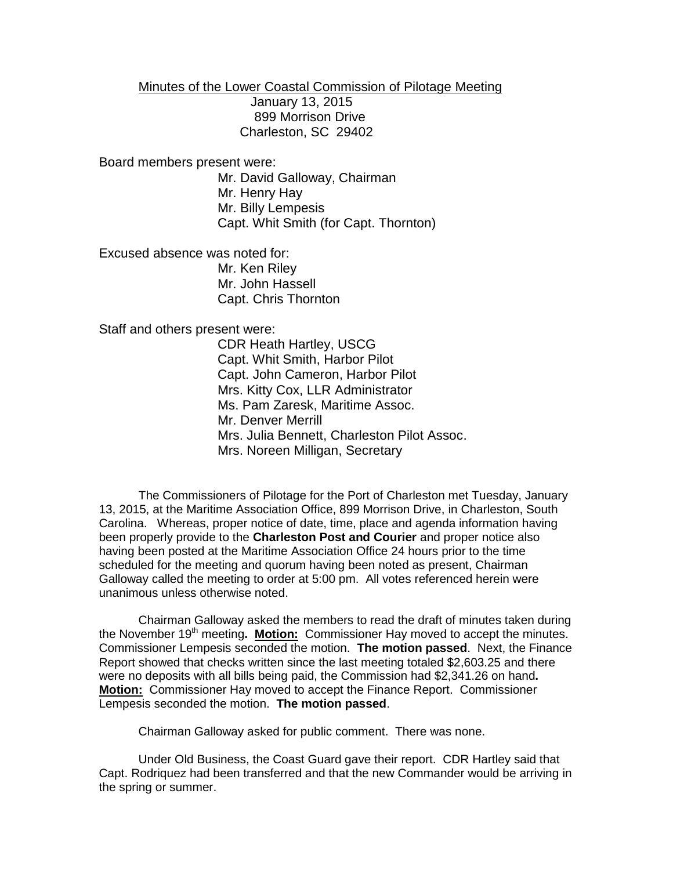Minutes of the Lower Coastal Commission of Pilotage Meeting January 13, 2015 899 Morrison Drive Charleston, SC 29402

Board members present were:

Mr. David Galloway, Chairman Mr. Henry Hay Mr. Billy Lempesis Capt. Whit Smith (for Capt. Thornton)

Excused absence was noted for: Mr. Ken Riley Mr. John Hassell Capt. Chris Thornton

Staff and others present were:

CDR Heath Hartley, USCG Capt. Whit Smith, Harbor Pilot Capt. John Cameron, Harbor Pilot Mrs. Kitty Cox, LLR Administrator Ms. Pam Zaresk, Maritime Assoc. Mr. Denver Merrill Mrs. Julia Bennett, Charleston Pilot Assoc. Mrs. Noreen Milligan, Secretary

The Commissioners of Pilotage for the Port of Charleston met Tuesday, January 13, 2015, at the Maritime Association Office, 899 Morrison Drive, in Charleston, South Carolina. Whereas, proper notice of date, time, place and agenda information having been properly provide to the **Charleston Post and Courier** and proper notice also having been posted at the Maritime Association Office 24 hours prior to the time scheduled for the meeting and quorum having been noted as present, Chairman Galloway called the meeting to order at 5:00 pm. All votes referenced herein were unanimous unless otherwise noted.

Chairman Galloway asked the members to read the draft of minutes taken during the November 19<sup>th</sup> meeting. **Motion:** Commissioner Hay moved to accept the minutes. Commissioner Lempesis seconded the motion. **The motion passed**. Next, the Finance Report showed that checks written since the last meeting totaled \$2,603.25 and there were no deposits with all bills being paid, the Commission had \$2,341.26 on hand**. Motion:** Commissioner Hay moved to accept the Finance Report. Commissioner Lempesis seconded the motion. **The motion passed**.

Chairman Galloway asked for public comment. There was none.

Under Old Business, the Coast Guard gave their report. CDR Hartley said that Capt. Rodriquez had been transferred and that the new Commander would be arriving in the spring or summer.